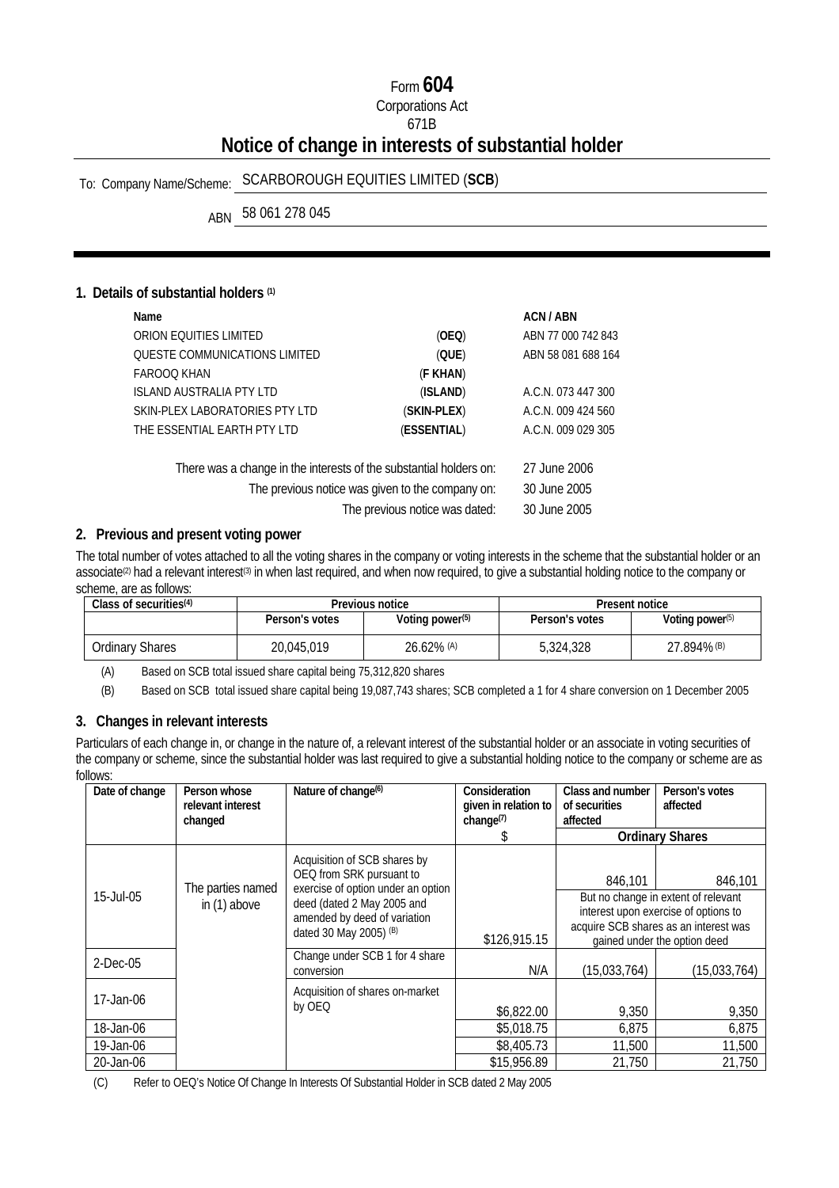# Form **604**

Corporations Act

#### 671B

# **Notice of change in interests of substantial holder**

# To: Company Name/Scheme: SCARBOROUGH EQUITIES LIMITED (**SCB**)

ABN 58 061 278 045

#### **1. Details of substantial holders (1)**

| Name                                                               |                                                  | ACN / ABN          |
|--------------------------------------------------------------------|--------------------------------------------------|--------------------|
| ORION EQUITIES LIMITED                                             | (OEQ)                                            | ABN 77 000 742 843 |
| <b>OUESTE COMMUNICATIONS LIMITED</b>                               | (QUE)                                            | ABN 58 081 688 164 |
| FAROOO KHAN                                                        | (F KHAN)                                         |                    |
| <b>ISLAND AUSTRALIA PTY LTD</b>                                    | (ISLAND)                                         | A.C.N. 073 447 300 |
| SKIN-PLEX LABORATORIES PTY LTD                                     | (SKIN-PLEX)                                      | A.C.N. 009 424 560 |
| THE ESSENTIAL EARTH PTY LTD                                        | (ESSENTIAL)                                      | A.C.N. 009 029 305 |
| There was a change in the interests of the substantial holders on: |                                                  | 27 June 2006       |
|                                                                    | The previous notice was given to the company on: | 30 June 2005       |
|                                                                    | The previous notice was dated:                   | 30 June 2005       |
|                                                                    |                                                  |                    |

#### **2. Previous and present voting power**

The total number of votes attached to all the voting shares in the company or voting interests in the scheme that the substantial holder or an associate<sup>(2)</sup> had a relevant interest<sup>(3)</sup> in when last required, and when now required, to give a substantial holding notice to the company or scheme, are as follows:

| Class of securities $(4)$ | Previous notice |                             | Present notice |                    |
|---------------------------|-----------------|-----------------------------|----------------|--------------------|
|                           | Person's votes  | Voting power <sup>(5)</sup> | Person's votes | Voting power $(5)$ |
| Ordinary Shares           | 20,045,019      | 26.62% (A)                  | 5.324.328      | 27.894% (B)        |

(A) Based on SCB total issued share capital being 75,312,820 shares

(B) Based on SCB total issued share capital being 19,087,743 shares; SCB completed a 1 for 4 share conversion on 1 December 2005

## **3. Changes in relevant interests**

Particulars of each change in, or change in the nature of, a relevant interest of the substantial holder or an associate in voting securities of the company or scheme, since the substantial holder was last required to give a substantial holding notice to the company or scheme are as follows:

| Date of change | Person whose<br>relevant interest | Nature of change <sup>(6)</sup>                                                                | Consideration<br>given in relation to<br>change <sup>(7)</sup> | Class and number<br>of securities<br>affected | Person's votes<br>affected                                                                                                                           |
|----------------|-----------------------------------|------------------------------------------------------------------------------------------------|----------------------------------------------------------------|-----------------------------------------------|------------------------------------------------------------------------------------------------------------------------------------------------------|
|                | changed                           |                                                                                                | Ж                                                              |                                               | <b>Ordinary Shares</b>                                                                                                                               |
|                | The parties named                 | Acquisition of SCB shares by<br>OEQ from SRK pursuant to<br>exercise of option under an option |                                                                | 846,101                                       | 846,101                                                                                                                                              |
| 15-Jul-05      | in (1) above                      | deed (dated 2 May 2005 and<br>amended by deed of variation<br>dated 30 May 2005) (B)           | \$126,915.15                                                   |                                               | But no change in extent of relevant<br>interest upon exercise of options to<br>acquire SCB shares as an interest was<br>gained under the option deed |
| $2$ -Dec-05    |                                   | Change under SCB 1 for 4 share<br>conversion                                                   | N/A                                                            | (15,033,764)                                  | (15,033,764)                                                                                                                                         |
| 17-Jan-06      |                                   | Acquisition of shares on-market<br>by OEQ                                                      | \$6,822.00                                                     | 9,350                                         | 9,350                                                                                                                                                |
| 18-Jan-06      |                                   |                                                                                                | \$5,018.75                                                     | 6,875                                         | 6,875                                                                                                                                                |
| 19-Jan-06      |                                   |                                                                                                | \$8,405.73                                                     | 11,500                                        | 11,500                                                                                                                                               |
| 20-Jan-06      |                                   |                                                                                                | \$15,956.89                                                    | 21,750                                        | 21,750                                                                                                                                               |

(C) Refer to OEQ's Notice Of Change In Interests Of Substantial Holder in SCB dated 2 May 2005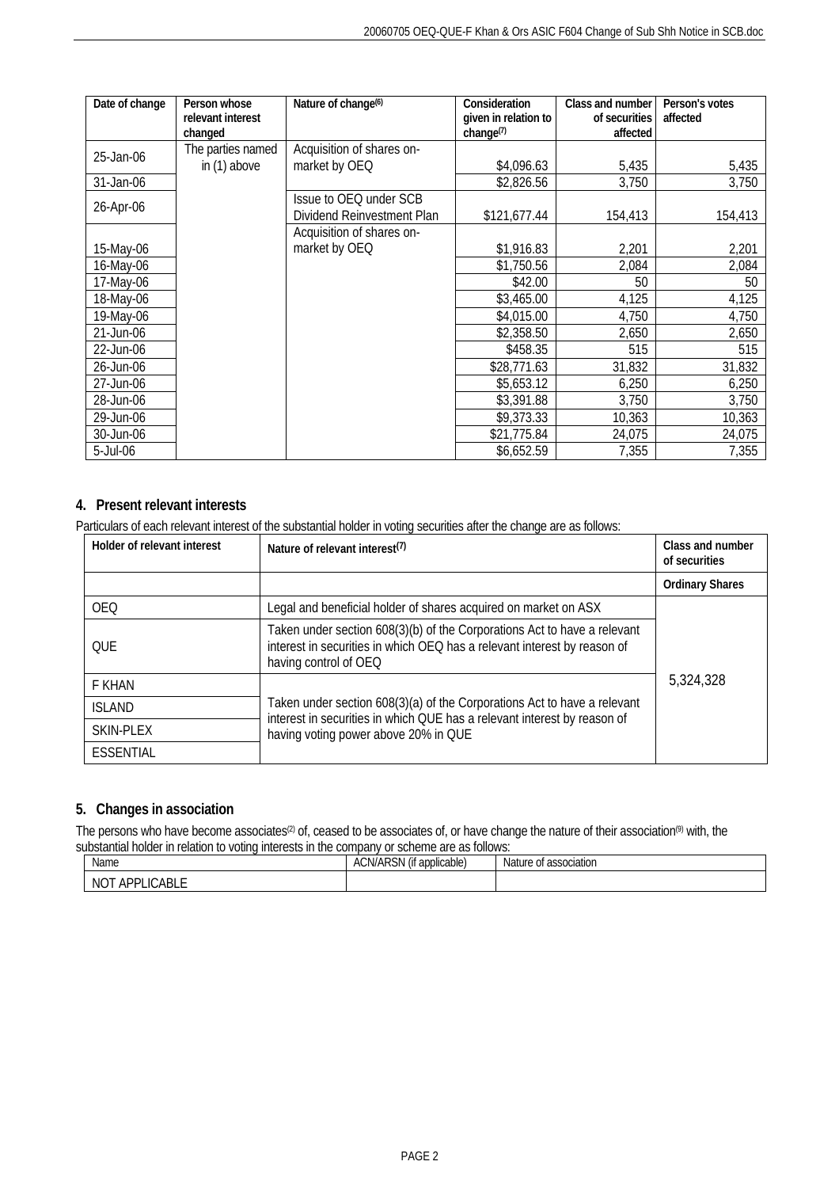| Date of change | Person whose<br>relevant interest<br>changed | Nature of change <sup>(6)</sup> | Consideration<br>given in relation to<br>change <sup>(7)</sup> | Class and number<br>of securities<br>affected | Person's votes<br>affected |
|----------------|----------------------------------------------|---------------------------------|----------------------------------------------------------------|-----------------------------------------------|----------------------------|
| 25-Jan-06      | The parties named                            | Acquisition of shares on-       |                                                                |                                               |                            |
|                | in (1) above                                 | market by OEQ                   | \$4,096.63                                                     | 5,435                                         | 5,435                      |
| 31-Jan-06      |                                              |                                 | \$2,826.56                                                     | 3,750                                         | 3,750                      |
| 26-Apr-06      |                                              | Issue to OEQ under SCB          |                                                                |                                               |                            |
|                |                                              | Dividend Reinvestment Plan      | \$121,677.44                                                   | 154,413                                       | 154,413                    |
|                |                                              | Acquisition of shares on-       |                                                                |                                               |                            |
| 15-May-06      |                                              | market by OEQ                   | \$1,916.83                                                     | 2,201                                         | 2,201                      |
| 16-May-06      |                                              |                                 | \$1,750.56                                                     | 2,084                                         | 2,084                      |
| 17-May-06      |                                              |                                 | \$42.00                                                        | 50                                            | 50                         |
| 18-May-06      |                                              |                                 | \$3,465.00                                                     | 4,125                                         | 4,125                      |
| 19-May-06      |                                              |                                 | \$4,015.00                                                     | 4,750                                         | 4,750                      |
| 21-Jun-06      |                                              |                                 | \$2,358.50                                                     | 2,650                                         | 2,650                      |
| 22-Jun-06      |                                              |                                 | \$458.35                                                       | 515                                           | 515                        |
| 26-Jun-06      |                                              |                                 | \$28,771.63                                                    | 31,832                                        | 31,832                     |
| 27-Jun-06      |                                              |                                 | \$5,653.12                                                     | 6,250                                         | 6,250                      |
| 28-Jun-06      |                                              |                                 | \$3,391.88                                                     | 3,750                                         | 3,750                      |
| 29-Jun-06      |                                              |                                 | \$9,373.33                                                     | 10,363                                        | 10,363                     |
| 30-Jun-06      |                                              |                                 | \$21,775.84                                                    | 24,075                                        | 24,075                     |
| 5-Jul-06       |                                              |                                 | \$6,652.59                                                     | 7,355                                         | 7,355                      |

### **4. Present relevant interests**

Particulars of each relevant interest of the substantial holder in voting securities after the change are as follows:

| Holder of relevant interest | Nature of relevant interest <sup>(7)</sup>                                                                                                                                    | Class and number<br>of securities |
|-----------------------------|-------------------------------------------------------------------------------------------------------------------------------------------------------------------------------|-----------------------------------|
|                             |                                                                                                                                                                               | <b>Ordinary Shares</b>            |
| <b>OEQ</b>                  | Legal and beneficial holder of shares acquired on market on ASX                                                                                                               |                                   |
| <b>OUE</b>                  | Taken under section 608(3)(b) of the Corporations Act to have a relevant<br>interest in securities in which OEQ has a relevant interest by reason of<br>having control of OEQ |                                   |
| F KHAN                      |                                                                                                                                                                               | 5,324,328                         |
| <b>ISLAND</b>               | Taken under section 608(3)(a) of the Corporations Act to have a relevant<br>interest in securities in which QUE has a relevant interest by reason of                          |                                   |
| SKIN-PLEX                   | having voting power above 20% in QUE                                                                                                                                          |                                   |
| ESSENTIAL                   |                                                                                                                                                                               |                                   |

## **5. Changes in association**

The persons who have become associates<sup>(2)</sup> of, ceased to be associates of, or have change the nature of their association<sup>(9)</sup> with, the substantial holder in relation to voting interests in the company or scheme are as follows:

| Name                             | <b>IADCN</b><br><br>$\mathbf{r}$<br><b>ACN/AR</b><br>* applicable)<br>(If<br>.NC | <b>Nature</b><br>accociation<br>$\sim$<br>associalion<br>ັບເ |
|----------------------------------|----------------------------------------------------------------------------------|--------------------------------------------------------------|
| NO<br>. APPL.<br>≘ABL∟<br>$\sim$ |                                                                                  |                                                              |